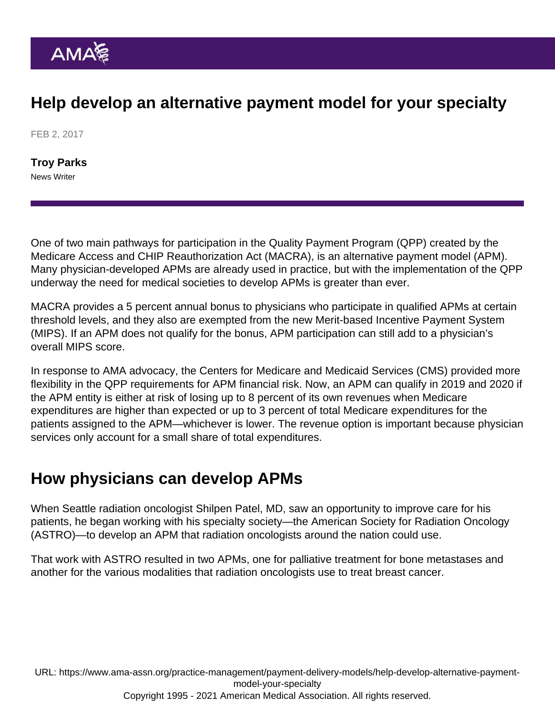# Help develop an alternative payment model for your specialty

FEB 2, 2017

[Troy Parks](https://www.ama-assn.org/news-leadership-viewpoints/authors-news-leadership-viewpoints/troy-parks) News Writer

One of two main pathways for participation in the Quality Payment Program (QPP) created by the Medicare Access and CHIP Reauthorization Act (MACRA), is an alternative payment model (APM). Many physician-developed APMs are already used in practice, but with the implementation of the QPP underway the need for medical societies to develop APMs is greater than ever.

MACRA provides a 5 percent annual bonus to physicians who participate in qualified APMs at certain threshold levels, and they also are exempted from the new Merit-based Incentive Payment System (MIPS). If an APM does not qualify for the bonus, APM participation can still add to a physician's overall MIPS score.

In response to AMA advocacy, the Centers for Medicare and Medicaid Services (CMS) provided more flexibility in the QPP requirements for APM financial risk. Now, an APM can qualify in 2019 and 2020 if the APM entity is either at risk of losing up to 8 percent of its own revenues when Medicare expenditures are higher than expected or up to 3 percent of total Medicare expenditures for the patients assigned to the APM—whichever is lower. The revenue option is important because physician services only account for a small share of total expenditures.

### How physicians can develop APMs

When Seattle radiation oncologist Shilpen Patel, MD, saw an opportunity to improve care for his patients, he began working with his specialty society—the American Society for Radiation Oncology (ASTRO)—to develop an APM that radiation oncologists around the nation could use.

That work with ASTRO [resulted in two APMs](https://www.ama-assn.org/practice-management/payment-delivery-models/how-doctors-are-developing-new-payment-models-their), one for palliative treatment for bone metastases and another for the various modalities that radiation oncologists use to treat breast cancer.

URL: [https://www.ama-assn.org/practice-management/payment-delivery-models/help-develop-alternative-payment](https://www.ama-assn.org/practice-management/payment-delivery-models/help-develop-alternative-payment-model-your-specialty)[model-your-specialty](https://www.ama-assn.org/practice-management/payment-delivery-models/help-develop-alternative-payment-model-your-specialty)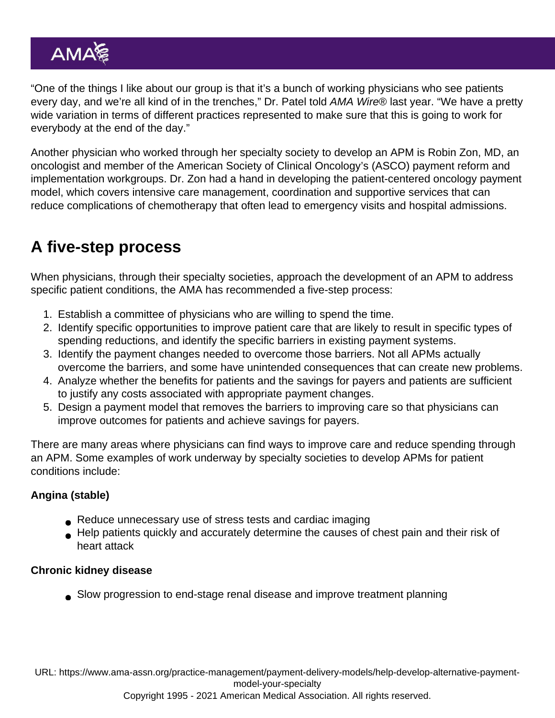"One of the things I like about our group is that it's a bunch of working physicians who see patients every day, and we're all kind of in the trenches," Dr. Patel told AMA Wire® last year. "We have a pretty wide variation in terms of different practices represented to make sure that this is going to work for everybody at the end of the day."

Another physician who worked through her specialty society to develop an APM is Robin Zon, MD, an oncologist and member of the American Society of Clinical Oncology's (ASCO) payment reform and implementation workgroups. Dr. Zon had a hand in developing the [patient-centered oncology payment](https://www.ama-assn.org/practice-management/payment-delivery-models/new-pay-model-allows-physicians-closely-manage-cancer) [model,](https://www.ama-assn.org/practice-management/payment-delivery-models/new-pay-model-allows-physicians-closely-manage-cancer) which covers intensive care management, coordination and supportive services that can reduce complications of chemotherapy that often lead to emergency visits and hospital admissions.

## A five-step process

When physicians, through their specialty societies, approach the development of an APM to address specific patient conditions, the AMA has recommended a five-step process:

- 1. Establish a committee of physicians who are willing to spend the time.
- 2. Identify specific opportunities to improve patient care that are likely to result in specific types of spending reductions, and identify the specific barriers in existing payment systems.
- 3. Identify the payment changes needed to overcome those barriers. Not all APMs actually overcome the barriers, and some have unintended consequences that can create new problems.
- 4. Analyze whether the benefits for patients and the savings for payers and patients are sufficient to justify any costs associated with appropriate payment changes.
- 5. Design a payment model that removes the barriers to improving care so that physicians can improve outcomes for patients and achieve savings for payers.

There are many areas where physicians can find ways to improve care and reduce spending through an APM. Some examples of work underway by specialty societies to develop APMs for patient conditions include:

### Angina (stable)

- Reduce unnecessary use of stress tests and cardiac imaging
- Help patients quickly and accurately determine the causes of chest pain and their risk of heart attack

### Chronic kidney disease

Slow progression to end-stage renal disease and improve treatment planning

URL: [https://www.ama-assn.org/practice-management/payment-delivery-models/help-develop-alternative-payment](https://www.ama-assn.org/practice-management/payment-delivery-models/help-develop-alternative-payment-model-your-specialty)[model-your-specialty](https://www.ama-assn.org/practice-management/payment-delivery-models/help-develop-alternative-payment-model-your-specialty)